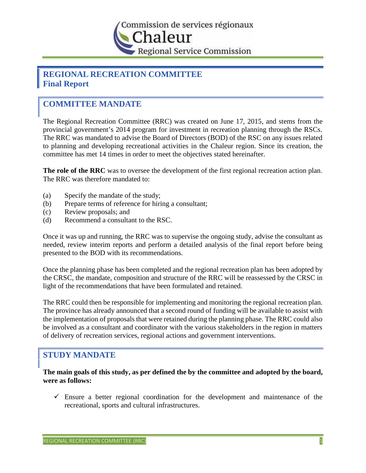

# **REGIONAL RECREATION COMMITTEE Final Report**

# **COMMITTEE MANDATE**

The Regional Recreation Committee (RRC) was created on June 17, 2015, and stems from the provincial government's 2014 program for investment in recreation planning through the RSCs. The RRC was mandated to advise the Board of Directors (BOD) of the RSC on any issues related to planning and developing recreational activities in the Chaleur region. Since its creation, the committee has met 14 times in order to meet the objectives stated hereinafter.

**The role of the RRC** was to oversee the development of the first regional recreation action plan. The RRC was therefore mandated to:

- (a) Specify the mandate of the study;
- (b) Prepare terms of reference for hiring a consultant;
- (c) Review proposals; and
- (d) Recommend a consultant to the RSC.

Once it was up and running, the RRC was to supervise the ongoing study, advise the consultant as needed, review interim reports and perform a detailed analysis of the final report before being presented to the BOD with its recommendations.

Once the planning phase has been completed and the regional recreation plan has been adopted by the CRSC, the mandate, composition and structure of the RRC will be reassessed by the CRSC in light of the recommendations that have been formulated and retained.

The RRC could then be responsible for implementing and monitoring the regional recreation plan. The province has already announced that a second round of funding will be available to assist with the implementation of proposals that were retained during the planning phase. The RRC could also be involved as a consultant and coordinator with the various stakeholders in the region in matters of delivery of recreation services, regional actions and government interventions.

# **STUDY MANDATE**

**The main goals of this study, as per defined the by the committee and adopted by the board, were as follows:**

 $\checkmark$  Ensure a better regional coordination for the development and maintenance of the recreational, sports and cultural infrastructures.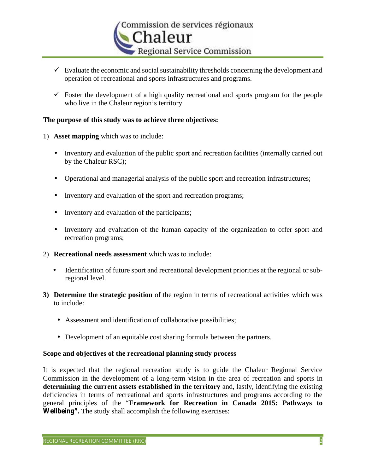

- $\checkmark$  Evaluate the economic and social sustainability thresholds concerning the development and operation of recreational and sports infrastructures and programs.
- $\checkmark$  Foster the development of a high quality recreational and sports program for the people who live in the Chaleur region's territory.

# **The purpose of this study was to achieve three objectives:**

- 1) **Asset mapping** which was to include:
	- Inventory and evaluation of the public sport and recreation facilities (internally carried out by the Chaleur RSC);
	- Operational and managerial analysis of the public sport and recreation infrastructures;
	- Inventory and evaluation of the sport and recreation programs;
	- Inventory and evaluation of the participants;
	- Inventory and evaluation of the human capacity of the organization to offer sport and recreation programs;
- 2) **Recreational needs assessment** which was to include:
	- Identification of future sport and recreational development priorities at the regional or subregional level.
- **3) Determine the strategic position** of the region in terms of recreational activities which was to include:
	- Assessment and identification of collaborative possibilities;
	- Development of an equitable cost sharing formula between the partners.

# **Scope and objectives of the recreational planning study process**

It is expected that the regional recreation study is to guide the Chaleur Regional Service Commission in the development of a long-term vision in the area of recreation and sports in **determining the current assets established in the territory** and, lastly, identifying the existing deficiencies in terms of recreational and sports infrastructures and programs according to the general principles of the "**Framework for Recreation in Canada 2015: Pathways to Wellbeing".** The study shall accomplish the following exercises: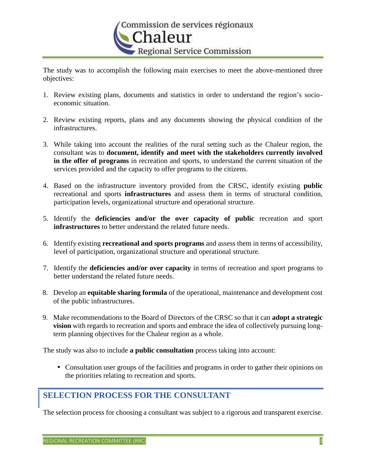

The study was to accomplish the following main exercises to meet the above-mentioned three objectives:

- 1. Review existing plans, documents and statistics in order to understand the region's socio economic situation.
- 2. Review existing reports, plans and any documents showing the physical condition of the infrastructures.
- 3. While taking into account the realities of the rural setting such as the Chaleur region, the consultant was to **document, identify and meet with the stakeholders currently involved in the offer of programs** in recreation and sports, to understand the current situation of the services provided and the capacity to offer programs to the citizens.
- 4. Based on the infrastructure inventory provided from the CRSC, identify existing **public** recreational and sports **infrastructures** and assess them in terms of structural condition, participation levels, organizational structure and operational structure.
- 5. Identify the **deficiencies and/or the over capacity of public** recreation and sport **infrastructures** to better understand the related future needs.
- 6. Identify existing **recreational and sports programs** and assess them in terms of accessibility, level of participation, organizational structure and operational structure.
- 7. Identify the **deficiencies and/or over capacity** in terms of recreation and sport programs to better understand the related future needs.
- 8. Develop an **equitable sharing formula** of the operational, maintenance and development cost of the public infrastructures.
- 9. Make recommendations to the Board of Directors of the CRSC so that it can **adopt a strategic vision** with regards to recreation and sports and embrace the idea of collectively pursuing longterm planning objectives for the Chaleur region as a whole.

The study was also to include **a public consultation** process taking into account:

 Consultation user groups of the facilities and programs in order to gather their opinions on the priorities relating to recreation and sports.

# **SELECTION PROCESS FOR THE CONSULTANT**

The selection process for choosing a consultant was subject to a rigorous and transparent exercise.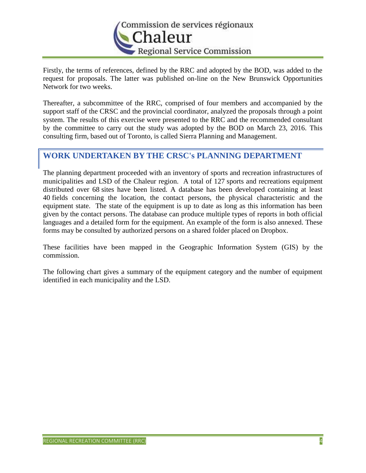

Firstly, the terms of references, defined by the RRC and adopted by the BOD, was added to the request for proposals. The latter was published on-line on the New Brunswick Opportunities Network for two weeks.

Thereafter, a subcommittee of the RRC, comprised of four members and accompanied by the support staff of the CRSC and the provincial coordinator, analyzed the proposals through a point system. The results of this exercise were presented to the RRC and the recommended consultant by the committee to carry out the study was adopted by the BOD on March 23, 2016. This consulting firm, based out of Toronto, is called Sierra Planning and Management.

# **WORK UNDERTAKEN BY THE CRSC's PLANNING DEPARTMENT**

The planning department proceeded with an inventory of sports and recreation infrastructures of municipalities and LSD of the Chaleur region. A total of 127 sports and recreations equipment distributed over 68 sites have been listed. A database has been developed containing at least 40 fields concerning the location, the contact persons, the physical characteristic and the equipment state. The state of the equipment is up to date as long as this information has been given by the contact persons. The database can produce multiple types of reports in both official languages and a detailed form for the equipment. An example of the form is also annexed. These forms may be consulted by authorized persons on a shared folder placed on Dropbox.

These facilities have been mapped in the Geographic Information System (GIS) by the commission.

The following chart gives a summary of the equipment category and the number of equipment identified in each municipality and the LSD.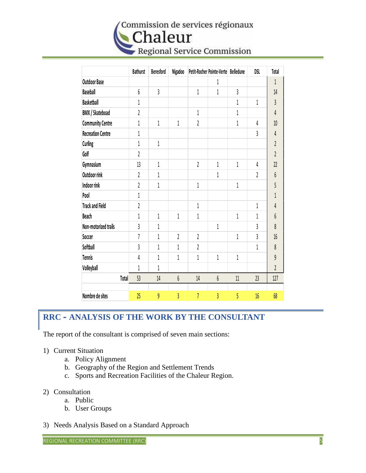# Commission de services régionaux Chaleur Regional Service Commission

|                          | <b>Bathurst</b>         | <b>Beresford</b> | Nigadoo |                | Petit-Rocher Pointe-Verte Belledune |                | <b>DSL</b> | Total          |
|--------------------------|-------------------------|------------------|---------|----------------|-------------------------------------|----------------|------------|----------------|
| <b>Outdoor Base</b>      |                         |                  |         |                | 1                                   |                |            | 1              |
| <b>Baseball</b>          | $\boldsymbol{6}$        | $\overline{3}$   |         | 1              | 1                                   | $\overline{3}$ |            | 14             |
| <b>Basketball</b>        | 1                       |                  |         |                |                                     | 1              | 1          | 3              |
| <b>BMX / Skateboad</b>   | $\overline{2}$          |                  |         | 1              |                                     | 1              |            | 4              |
| <b>Community Centre</b>  | 1                       | 1                | 1       | 2              |                                     | 1              | 4          | 10             |
| <b>Recreation Centre</b> | 1                       |                  |         |                |                                     |                | 3          | 4              |
| Curling                  | 1                       | 1                |         |                |                                     |                |            | $\overline{2}$ |
| Golf                     | $\overline{2}$          |                  |         |                |                                     |                |            | $\overline{2}$ |
| Gymnasium                | 13                      | 1                |         | 2              | 1                                   | $1\,$          | 4          | 22             |
| Outdoor rink             | $\overline{\mathbf{c}}$ | 1                |         |                | 1                                   |                | 2          | 6              |
| Indoor rink              | $\overline{2}$          | $\,1\,$          |         | 1              |                                     | 1              |            | 5              |
| Pool                     | 1                       |                  |         |                |                                     |                |            | 1              |
| <b>Track and Field</b>   | $\overline{2}$          |                  |         | 1              |                                     |                | 1          | 4              |
| Beach                    | 1                       | 1                | 1       | 1              |                                     | 1              | 1          | 6              |
| Non-motorized trails     | 3                       | 1                |         |                | 1                                   |                | 3          | 8              |
| Soccer                   | $\overline{1}$          | 1                | 2       | 2              |                                     | 1              | 3          | 16             |
| Softball                 | 3                       | 1                | 1       | 2              |                                     |                | 1          | 8              |
| <b>Tennis</b>            | 4                       | 1                | 1       | 1              | 1                                   | $1\,$          |            | 9              |
| Volleyball               | 1                       | 1                |         |                |                                     |                |            | $\overline{2}$ |
| Total                    | 53                      | 14               | 6       | 14             | 6                                   | 11             | 23         | 127            |
|                          |                         |                  |         |                |                                     |                |            |                |
| Nombre de sites          | 25                      | 9                | 3       | $\overline{1}$ | $\overline{3}$                      | 5              | 16         | 68             |

# **RRC – ANALYSIS OF THE WORK BY THE CONSULTANT**

The report of the consultant is comprised of seven main sections:

- 1) Current Situation
	- a. Policy Alignment
	- b. Geography of the Region and Settlement Trends
	- c. Sports and Recreation Facilities of the Chaleur Region.
- 2) Consultation
	- a. Public
	- b. User Groups
- 3) Needs Analysis Based on a Standard Approach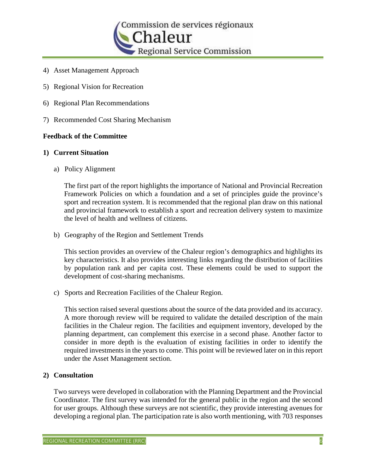

- 4) Asset Management Approach
- 5) Regional Vision for Recreation
- 6) Regional Plan Recommendations
- 7) Recommended Cost Sharing Mechanism

# **Feedback of the Committee**

#### **1) Current Situation**

a) Policy Alignment

The first part of the report highlights the importance of National and Provincial Recreation Framework Policies on which a foundation and a set of principles guide the province's sport and recreation system. It is recommended that the regional plan draw on this national and provincial framework to establish a sport and recreation delivery system to maximize the level of health and wellness of citizens.

b) Geography of the Region and Settlement Trends

This section provides an overview of the Chaleur region's demographics and highlights its key characteristics. It also provides interesting links regarding the distribution of facilities by population rank and per capita cost. These elements could be used to support the development of cost-sharing mechanisms.

c) Sports and Recreation Facilities of the Chaleur Region.

This section raised several questions about the source of the data provided and its accuracy. A more thorough review will be required to validate the detailed description of the main facilities in the Chaleur region. The facilities and equipment inventory, developed by the planning department, can complement this exercise in a second phase. Another factor to consider in more depth is the evaluation of existing facilities in order to identify the required investments in the years to come. This point will be reviewed later on in this report under the Asset Management section.

#### **2) Consultation**

Two surveys were developed in collaboration with the Planning Department and the Provincial Coordinator. The first survey was intended for the general public in the region and the second for user groups. Although these surveys are not scientific, they provide interesting avenues for developing a regional plan. The participation rate is also worth mentioning, with 703 responses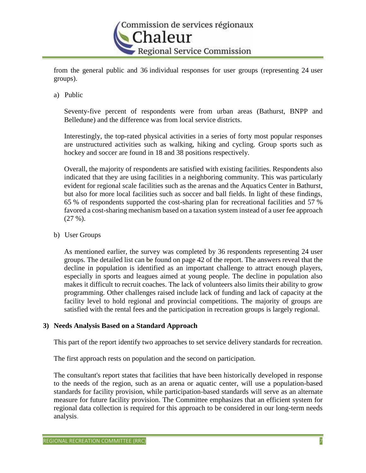

from the general public and 36 individual responses for user groups (representing 24 user groups).

a) Public

Seventy-five percent of respondents were from urban areas (Bathurst, BNPP and Belledune) and the difference was from local service districts.

Interestingly, the top-rated physical activities in a series of forty most popular responses are unstructured activities such as walking, hiking and cycling. Group sports such as hockey and soccer are found in 18 and 38 positions respectively.

Overall, the majority of respondents are satisfied with existing facilities. Respondents also indicated that they are using facilities in a neighboring community. This was particularly evident for regional scale facilities such as the arenas and the Aquatics Center in Bathurst, but also for more local facilities such as soccer and ball fields. In light of these findings, 65 % of respondents supported the cost-sharing plan for recreational facilities and 57 % favored a cost-sharing mechanism based on a taxation system instead of a user fee approach  $(27 \%)$ .

b) User Groups

As mentioned earlier, the survey was completed by 36 respondents representing 24 user groups. The detailed list can be found on page 42 of the report. The answers reveal that the decline in population is identified as an important challenge to attract enough players, especially in sports and leagues aimed at young people. The decline in population also makes it difficult to recruit coaches. The lack of volunteers also limits their ability to grow programming. Other challenges raised include lack of funding and lack of capacity at the facility level to hold regional and provincial competitions. The majority of groups are satisfied with the rental fees and the participation in recreation groups is largely regional.

# **3) Needs Analysis Based on a Standard Approach**

This part of the report identify two approaches to set service delivery standards for recreation.

The first approach rests on population and the second on participation.

The consultant's report states that facilities that have been historically developed in response to the needs of the region, such as an arena or aquatic center, will use a population-based standards for facility provision, while participation-based standards will serve as an alternate measure for future facility provision. The Committee emphasizes that an efficient system for regional data collection is required for this approach to be considered in our long-term needs analysis.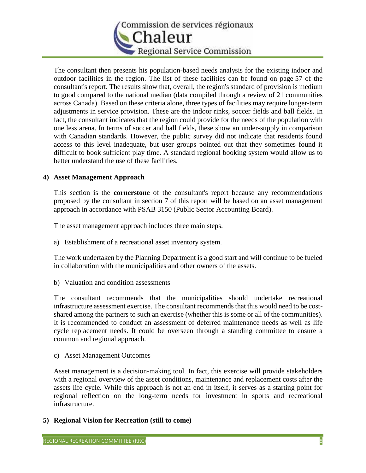

The consultant then presents his population-based needs analysis for the existing indoor and outdoor facilities in the region. The list of these facilities can be found on page 57 of the consultant's report. The results show that, overall, the region's standard of provision is medium to good compared to the national median (data compiled through a review of 21 communities across Canada). Based on these criteria alone, three types of facilities may require longer-term adjustments in service provision. These are the indoor rinks, soccer fields and ball fields. In fact, the consultant indicates that the region could provide for the needs of the population with one less arena. In terms of soccer and ball fields, these show an under-supply in comparison with Canadian standards. However, the public survey did not indicate that residents found access to this level inadequate, but user groups pointed out that they sometimes found it difficult to book sufficient play time. A standard regional booking system would allow us to better understand the use of these facilities.

# **4) Asset Management Approach**

This section is the **cornerstone** of the consultant's report because any recommendations proposed by the consultant in section 7 of this report will be based on an asset management approach in accordance with PSAB 3150 (Public Sector Accounting Board).

The asset management approach includes three main steps.

a) Establishment of a recreational asset inventory system.

The work undertaken by the Planning Department is a good start and will continue to be fueled in collaboration with the municipalities and other owners of the assets.

b) Valuation and condition assessments

The consultant recommends that the municipalities should undertake recreational infrastructure assessment exercise. The consultant recommends that this would need to be cost shared among the partners to such an exercise (whether this is some or all of the communities). It is recommended to conduct an assessment of deferred maintenance needs as well as life cycle replacement needs. It could be overseen through a standing committee to ensure a common and regional approach.

c) Asset Management Outcomes

Asset management is a decision-making tool. In fact, this exercise will provide stakeholders with a regional overview of the asset conditions, maintenance and replacement costs after the assets life cycle. While this approach is not an end in itself, it serves as a starting point for regional reflection on the long-term needs for investment in sports and recreational infrastructure.

**5) Regional Vision for Recreation (still to come)**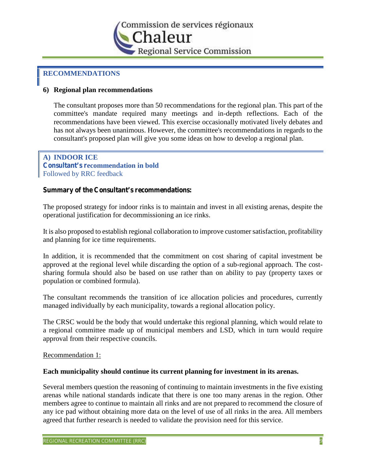

# **RECOMMENDATIONS**

# **6) Regional plan recommendations**

The consultant proposes more than 50 recommendations for the regional plan. This part of the committee's mandate required many meetings and in-depth reflections. Each of the recommendations have been viewed. This exercise occasionally motivated lively debates and has not always been unanimous. However, the committee's recommendations in regards to the consultant's proposed plan will give you some ideas on how to develop a regional plan.

# **A) INDOOR ICE Consultant's recommendation in bold** Followed by RRC feedback

#### **Summary of the Consultant's recommendations:**

The proposed strategy for indoor rinks is to maintain and invest in all existing arenas, despite the operational justification for decommissioning an ice rinks.

It is also proposed to establish regional collaboration to improve customer satisfaction, profitability and planning for ice time requirements.

In addition, it is recommended that the commitment on cost sharing of capital investment be approved at the regional level while discarding the option of a sub-regional approach. The cost sharing formula should also be based on use rather than on ability to pay (property taxes or population or combined formula).

The consultant recommends the transition of ice allocation policies and procedures, currently managed individually by each municipality, towards a regional allocation policy.

The CRSC would be the body that would undertake this regional planning, which would relate to a regional committee made up of municipal members and LSD, which in turn would require approval from their respective councils.

#### Recommendation 1:

#### **Each municipality should continue its current planning for investment in its arenas.**

Several members question the reasoning of continuing to maintain investments in the five existing arenas while national standards indicate that there is one too many arenas in the region. Other members agree to continue to maintain all rinks and are not prepared to recommend the closure of any ice pad without obtaining more data on the level of use of all rinks in the area. All members agreed that further research is needed to validate the provision need for this service.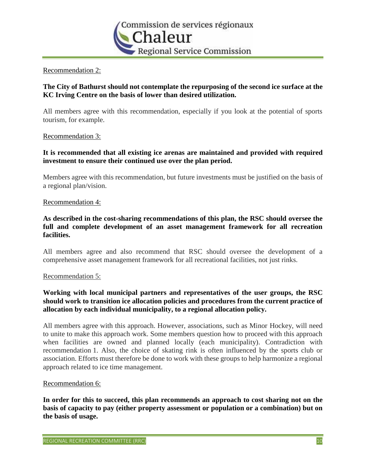

# Recommendation 2:

# **The City of Bathurst should not contemplate the repurposing of the second ice surface at the KC Irving Centre on the basis of lower than desired utilization.**

All members agree with this recommendation, especially if you look at the potential of sports tourism, for example.

#### Recommendation 3:

# **It is recommended that all existing ice arenas are maintained and provided with required investment to ensure their continued use over the plan period.**

Members agree with this recommendation, but future investments must be justified on the basis of a regional plan/vision.

#### Recommendation 4:

# **As described in the cost-sharing recommendations of this plan, the RSC should oversee the full and complete development of an asset management framework for all recreation facilities.**

All members agree and also recommend that RSC should oversee the development of a comprehensive asset management framework for all recreational facilities, not just rinks.

#### Recommendation 5:

# **Working with local municipal partners and representatives of the user groups, the RSC should work to transition ice allocation policies and procedures from the current practice of allocation by each individual municipality, to a regional allocation policy.**

All members agree with this approach. However, associations, such as Minor Hockey, will need to unite to make this approach work. Some members question how to proceed with this approach when facilities are owned and planned locally (each municipality). Contradiction with recommendation 1. Also, the choice of skating rink is often influenced by the sports club or association. Efforts must therefore be done to work with these groups to help harmonize a regional approach related to ice time management.

#### Recommendation 6:

**In order for this to succeed, this plan recommends an approach to cost sharing not on the basis of capacity to pay (either property assessment or population or a combination) but on the basis of usage.**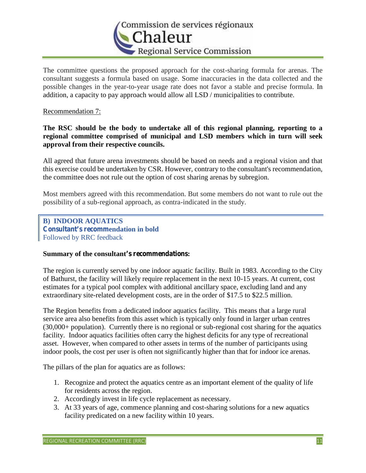

The committee questions the proposed approach for the cost-sharing formula for arenas. The consultant suggests a formula based on usage. Some inaccuracies in the data collected and the possible changes in the year-to-year usage rate does not favor a stable and precise formula. In addition, a capacity to pay approach would allow all LSD / municipalities to contribute.

# Recommendation 7:

**The RSC should be the body to undertake all of this regional planning, reporting to a regional committee comprised of municipal and LSD members which in turn will seek approval from their respective councils.**

All agreed that future arena investments should be based on needs and a regional vision and that this exercise could be undertaken by CSR. However, contrary to the consultant's recommendation, the committee does not rule out the option of cost sharing arenas by subregion.

Most members agreed with this recommendation. But some members do not want to rule out the possibility of a sub-regional approach, as contra-indicated in the study.

**B) INDOOR AQUATICS Consultant's recommendation in bold** Followed by RRC feedback

#### **Summary of the consultant's recommendations:**

The region is currently served by one indoor aquatic facility. Built in 1983. According to the City of Bathurst, the facility will likely require replacement in the next 10-15 years. At current, cost estimates for a typical pool complex with additional ancillary space, excluding land and any extraordinary site-related development costs, are in the order of \$17.5 to \$22.5 million.

The Region benefits from a dedicated indoor aquatics facility. This means that a large rural service area also benefits from this asset which is typically only found in larger urban centres (30,000+ population). Currently there is no regional or sub-regional cost sharing for the aquatics facility. Indoor aquatics facilities often carry the highest deficits for any type of recreational asset. However, when compared to other assets in terms of the number of participants using indoor pools, the cost per user is often not significantly higher than that for indoor ice arenas.

The pillars of the plan for aquatics are as follows:

- 1. Recognize and protect the aquatics centre as an important element of the quality of life for residents across the region.
- 2. Accordingly invest in life cycle replacement as necessary.
- 3. At 33 years of age, commence planning and cost-sharing solutions for a new aquatics facility predicated on a new facility within 10 years.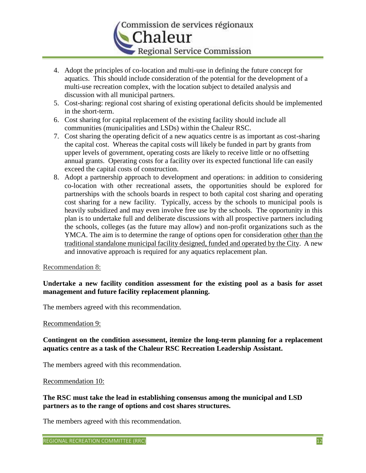

- 4. Adopt the principles of co-location and multi-use in defining the future concept for aquatics. This should include consideration of the potential for the development of a multi-use recreation complex, with the location subject to detailed analysis and discussion with all municipal partners.
- 5. Cost-sharing: regional cost sharing of existing operational deficits should be implemented in the short-term.
- 6. Cost sharing for capital replacement of the existing facility should include all communities (municipalities and LSDs) within the Chaleur RSC.
- 7. Cost sharing the operating deficit of a new aquatics centre is as important as cost-sharing the capital cost. Whereas the capital costs will likely be funded in part by grants from upper levels of government, operating costs are likely to receive little or no offsetting annual grants. Operating costs for a facility over its expected functional life can easily exceed the capital costs of construction.
- 8. Adopt a partnership approach to development and operations: in addition to considering co-location with other recreational assets, the opportunities should be explored for partnerships with the schools boards in respect to both capital cost sharing and operating cost sharing for a new facility. Typically, access by the schools to municipal pools is heavily subsidized and may even involve free use by the schools. The opportunity in this plan is to undertake full and deliberate discussions with all prospective partners including the schools, colleges (as the future may allow) and non-profit organizations such as the YMCA. The aim is to determine the range of options open for consideration other than the traditional standalone municipal facility designed, funded and operated by the City. A new and innovative approach is required for any aquatics replacement plan.

#### Recommendation 8:

# **Undertake a new facility condition assessment for the existing pool as a basis for asset management and future facility replacement planning.**

The members agreed with this recommendation.

#### Recommendation 9:

**Contingent on the condition assessment, itemize the long-term planning for a replacement aquatics centre as a task of the Chaleur RSC Recreation Leadership Assistant.**

The members agreed with this recommendation.

#### Recommendation 10:

**The RSC must take the lead in establishing consensus among the municipal and LSD partners as to the range of options and cost shares structures.**

The members agreed with this recommendation.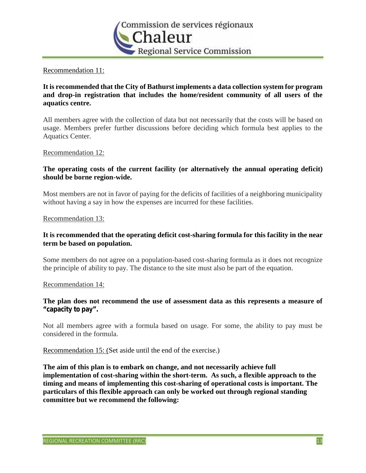

# Recommendation 11:

# **It is recommended that the City of Bathurst implements a data collection system for program and drop-in registration that includes the home/resident community of all users of the aquatics centre.**

All members agree with the collection of data but not necessarily that the costs will be based on usage. Members prefer further discussions before deciding which formula best applies to the Aquatics Center.

#### Recommendation 12:

# **The operating costs of the current facility (or alternatively the annual operating deficit) should be borne region-wide.**

Most members are not in favor of paying for the deficits of facilities of a neighboring municipality without having a say in how the expenses are incurred for these facilities.

#### Recommendation 13:

# **It is recommended that the operating deficit cost-sharing formula for this facility in the near term be based on population.**

Some members do not agree on a population-based cost-sharing formula as it does not recognize the principle of ability to pay. The distance to the site must also be part of the equation.

#### Recommendation 14:

# **The plan does not recommend the use of assessment data as this represents a measure of "capacity to pay".**

Not all members agree with a formula based on usage. For some, the ability to pay must be considered in the formula.

Recommendation 15: (Set aside until the end of the exercise.)

**The aim of this plan is to embark on change, and not necessarily achieve full implementation of cost-sharing within the short-term. As such, a flexible approach to the timing and means of implementing this cost-sharing of operational costs is important. The particulars of this flexible approach can only be worked out through regional standing committee but we recommend the following:**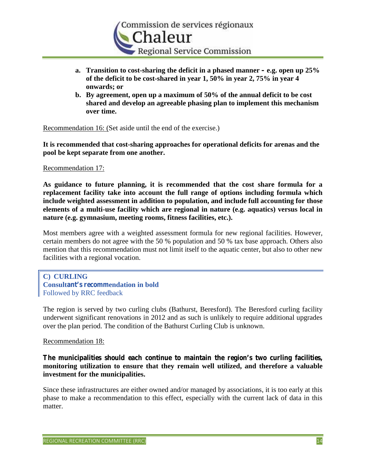

- **a. Transition to cost-sharing the deficit in a phased manner – e.g. open up 25% of the deficit to be cost-shared in year 1, 50% in year 2, 75% in year 4 onwards; or**
- **b. By agreement, open up a maximum of 50% of the annual deficit to be cost shared and develop an agreeable phasing plan to implement this mechanism over time.**

Recommendation 16: (Set aside until the end of the exercise.)

**It is recommended that cost-sharing approaches for operational deficits for arenas and the pool be kept separate from one another.**

# Recommendation 17:

**As guidance to future planning, it is recommended that the cost share formula for a replacement facility take into account the full range of options including formula which include weighted assessment in addition to population, and include full accounting for those elements of a multi-use facility which are regional in nature (e.g. aquatics) versus local in nature (e.g. gymnasium, meeting rooms, fitness facilities, etc.).**

Most members agree with a weighted assessment formula for new regional facilities. However, certain members do not agree with the 50 % population and 50 % tax base approach. Others also mention that this recommendation must not limit itself to the aquatic center, but also to other new facilities with a regional vocation.

# **C) CURLING Consultant's recommendation in bold** Followed by RRC feedback

The region is served by two curling clubs (Bathurst, Beresford). The Beresford curling facility underwent significant renovations in 2012 and as such is unlikely to require additional upgrades over the plan period. The condition of the Bathurst Curling Club is unknown.

#### Recommendation 18:

**The municipalities should each continue to maintain the region's two curling facilities, monitoring utilization to ensure that they remain well utilized, and therefore a valuable investment for the municipalities.**

Since these infrastructures are either owned and/or managed by associations, it is too early at this phase to make a recommendation to this effect, especially with the current lack of data in this matter.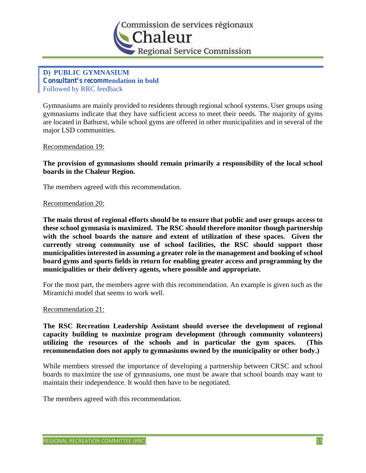

# **D) PUBLIC GYMNASIUM Consultant's recommendation in bold** Followed by RRC feedback

Gymnasiums are mainly provided to residents through regional school systems. User groups using gymnasiums indicate that they have sufficient access to meet their needs. The majority of gyms are located in Bathurst, while school gyms are offered in other municipalities and in several of the major LSD communities.

Recommendation 19:

**The provision of gymnasiums should remain primarily a responsibility of the local school boards in the Chaleur Region.**

The members agreed with this recommendation.

#### Recommendation 20:

**The main thrust of regional efforts should be to ensure that public and user groups access to these school gymnasia is maximized. The RSC should therefore monitor though partnership with the school boards the nature and extent of utilization of these spaces. Given the currently strong community use of school facilities, the RSC should support those municipalities interested in assuming a greater role in the management and booking of school board gyms and sports fields in return for enabling greater access and programming by the municipalities or their delivery agents, where possible and appropriate.**

For the most part, the members agree with this recommendation. An example is given such as the Miramichi model that seems to work well.

#### Recommendation 21:

**The RSC Recreation Leadership Assistant should oversee the development of regional capacity building to maximize program development (through community volunteers) utilizing the resources of the schools and in particular the gym spaces. (This recommendation does not apply to gymnasiums owned by the municipality or other body.)**

While members stressed the importance of developing a partnership between CRSC and school boards to maximize the use of gymnasiums, one must be aware that school boards may want to maintain their independence. It would then have to be negotiated.

The members agreed with this recommendation.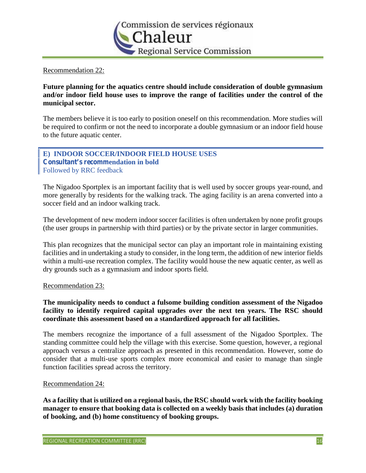

# Recommendation 22:

**Future planning for the aquatics centre should include consideration of double gymnasium and/or indoor field house uses to improve the range of facilities under the control of the municipal sector.**

The members believe it is too early to position oneself on this recommendation. More studies will be required to confirm or not the need to incorporate a double gymnasium or an indoor field house to the future aquatic center.

# **E) INDOOR SOCCER/INDOOR FIELD HOUSE USES Consultant's recommendation in bold** Followed by RRC feedback

The Nigadoo Sportplex is an important facility that is well used by soccer groups year-round, and more generally by residents for the walking track. The aging facility is an arena converted into a soccer field and an indoor walking track.

The development of new modern indoor soccer facilities is often undertaken by none profit groups (the user groups in partnership with third parties) or by the private sector in larger communities.

This plan recognizes that the municipal sector can play an important role in maintaining existing facilities and in undertaking a study to consider, in the long term, the addition of new interior fields within a multi-use recreation complex. The facility would house the new aquatic center, as well as dry grounds such as a gymnasium and indoor sports field.

#### Recommendation 23:

# **The municipality needs to conduct a fulsome building condition assessment of the Nigadoo facility to identify required capital upgrades over the next ten years. The RSC should coordinate this assessment based on a standardized approach for all facilities.**

The members recognize the importance of a full assessment of the Nigadoo Sportplex. The standing committee could help the village with this exercise. Some question, however, a regional approach versus a centralize approach as presented in this recommendation. However, some do consider that a multi-use sports complex more economical and easier to manage than single function facilities spread across the territory.

#### Recommendation 24:

**As a facility that is utilized on a regional basis, the RSC should work with the facility booking manager to ensure that booking data is collected on a weekly basis that includes (a) duration of booking, and (b) home constituency of booking groups.**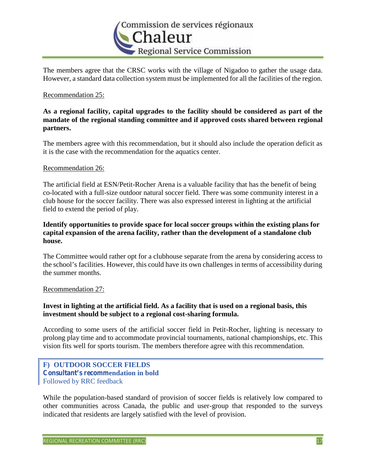

The members agree that the CRSC works with the village of Nigadoo to gather the usage data. However, a standard data collection system must be implemented for all the facilities of the region.

#### Recommendation 25:

# **As a regional facility, capital upgrades to the facility should be considered as part of the mandate of the regional standing committee and if approved costs shared between regional partners.**

The members agree with this recommendation, but it should also include the operation deficit as it is the case with the recommendation for the aquatics center.

#### Recommendation 26:

The artificial field at ESN/Petit-Rocher Arena is a valuable facility that has the benefit of being co-located with a full-size outdoor natural soccer field. There was some community interest in a club house for the soccer facility. There was also expressed interest in lighting at the artificial field to extend the period of play.

# **Identify opportunities to provide space for local soccer groups within the existing plans for capital expansion of the arena facility, rather than the development of a standalone club house.**

The Committee would rather opt for a clubhouse separate from the arena by considering access to the school's facilities. However, this could have its own challenges in terms of accessibility during the summer months.

#### Recommendation 27:

# **Invest in lighting at the artificial field. As a facility that is used on a regional basis, this investment should be subject to a regional cost-sharing formula.**

According to some users of the artificial soccer field in Petit-Rocher, lighting is necessary to prolong play time and to accommodate provincial tournaments, national championships, etc. This vision fits well for sports tourism. The members therefore agree with this recommendation.

# **F) OUTDOOR SOCCER FIELDS Consultant's recommendation in bold** Followed by RRC feedback

While the population-based standard of provision of soccer fields is relatively low compared to other communities across Canada, the public and user-group that responded to the surveys indicated that residents are largely satisfied with the level of provision.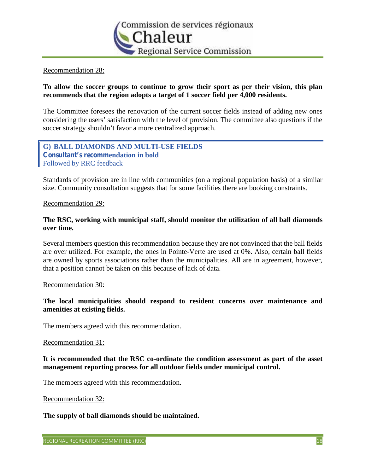

#### Recommendation 28:

# **To allow the soccer groups to continue to grow their sport as per their vision, this plan recommends that the region adopts a target of 1 soccer field per 4,000 residents.**

The Committee foresees the renovation of the current soccer fields instead of adding new ones considering the users' satisfaction with the level of provision. The committee also questions if the soccer strategy shouldn't favor a more centralized approach.

# **G) BALL DIAMONDS AND MULTI-USE FIELDS Consultant's recommendation in bold** Followed by RRC feedback

Standards of provision are in line with communities (on a regional population basis) of a similar size. Community consultation suggests that for some facilities there are booking constraints.

#### Recommendation 29:

# **The RSC, working with municipal staff, should monitor the utilization of all ball diamonds over time.**

Several members question this recommendation because they are not convinced that the ball fields are over utilized. For example, the ones in Pointe-Verte are used at 0%. Also, certain ball fields are owned by sports associations rather than the municipalities. All are in agreement, however, that a position cannot be taken on this because of lack of data.

#### Recommendation 30:

# **The local municipalities should respond to resident concerns over maintenance and amenities at existing fields.**

The members agreed with this recommendation.

#### Recommendation 31:

#### **It is recommended that the RSC co-ordinate the condition assessment as part of the asset management reporting process for all outdoor fields under municipal control.**

The members agreed with this recommendation.

#### Recommendation 32:

#### **The supply of ball diamonds should be maintained.**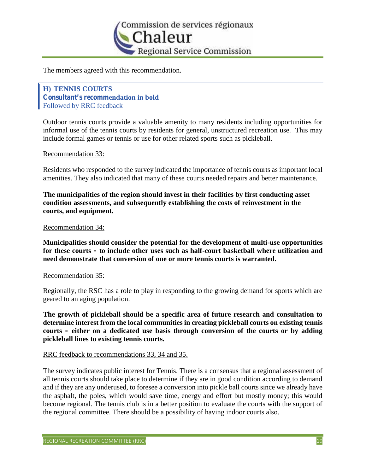

The members agreed with this recommendation.

**H) TENNIS COURTS Consultant's recommendation in bold** Followed by RRC feedback

Outdoor tennis courts provide a valuable amenity to many residents including opportunities for informal use of the tennis courts by residents for general, unstructured recreation use. This may include formal games or tennis or use for other related sports such as pickleball.

#### Recommendation 33:

Residents who responded to the survey indicated the importance of tennis courts as important local amenities. They also indicated that many of these courts needed repairs and better maintenance.

**The municipalities of the region should invest in their facilities by first conducting asset condition assessments, and subsequently establishing the costs of reinvestment in the courts, and equipment.**

#### Recommendation 34:

**Municipalities should consider the potential for the development of multi-use opportunities for these courts – to include other uses such as half-court basketball where utilization and need demonstrate that conversion of one or more tennis courts is warranted.**

#### Recommendation 35:

Regionally, the RSC has a role to play in responding to the growing demand for sports which are geared to an aging population.

**The growth of pickleball should be a specific area of future research and consultation to determine interest from the local communities in creating pickleball courts on existing tennis courts – either on a dedicated use basis through conversion of the courts or by adding pickleball lines to existing tennis courts.**

#### RRC feedback to recommendations 33, 34 and 35.

The survey indicates public interest for Tennis. There is a consensus that a regional assessment of all tennis courts should take place to determine if they are in good condition according to demand and if they are any underused, to foresee a conversion into pickle ball courts since we already have the asphalt, the poles, which would save time, energy and effort but mostly money; this would become regional. The tennis club is in a better position to evaluate the courts with the support of the regional committee. There should be a possibility of having indoor courts also.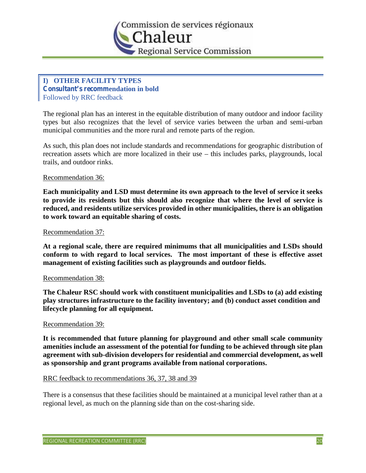

# **I) OTHER FACILITY TYPES Consultant's recommendation in bold** Followed by RRC feedback

The regional plan has an interest in the equitable distribution of many outdoor and indoor facility types but also recognizes that the level of service varies between the urban and semi-urban municipal communities and the more rural and remote parts of the region.

As such, this plan does not include standards and recommendations for geographic distribution of recreation assets which are more localized in their use – this includes parks, playgrounds, local trails, and outdoor rinks.

#### Recommendation 36:

**Each municipality and LSD must determine its own approach to the level of service it seeks to provide its residents but this should also recognize that where the level of service is reduced, and residents utilize services provided in other municipalities, there is an obligation to work toward an equitable sharing of costs.**

#### Recommendation 37:

**At a regional scale, there are required minimums that all municipalities and LSDs should conform to with regard to local services. The most important of these is effective asset management of existing facilities such as playgrounds and outdoor fields.**

#### Recommendation 38:

**The Chaleur RSC should work with constituent municipalities and LSDs to (a) add existing play structures infrastructure to the facility inventory; and (b) conduct asset condition and lifecycle planning for all equipment.**

#### Recommendation 39:

**It is recommended that future planning for playground and other small scale community amenities include an assessment of the potential for funding to be achieved through site plan agreement with sub-division developers for residential and commercial development, as well as sponsorship and grant programs available from national corporations.**

#### RRC feedback to recommendations 36, 37, 38 and 39

There is a consensus that these facilities should be maintained at a municipal level rather than at a regional level, as much on the planning side than on the cost-sharing side.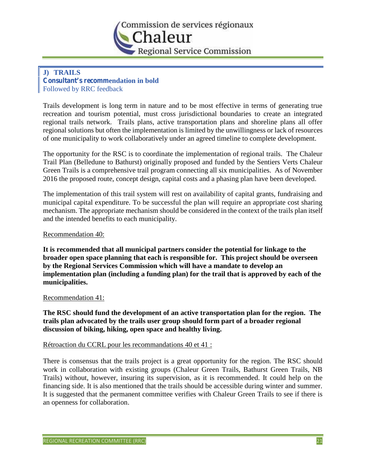

# **J) TRAILS Consultant's recommendation in bold** Followed by RRC feedback

Trails development is long term in nature and to be most effective in terms of generating true recreation and tourism potential, must cross jurisdictional boundaries to create an integrated regional trails network. Trails plans, active transportation plans and shoreline plans all offer regional solutions but often the implementation is limited by the unwillingness or lack of resources of one municipality to work collaboratively under an agreed timeline to complete development.

The opportunity for the RSC is to coordinate the implementation of regional trails. The Chaleur Trail Plan (Belledune to Bathurst) originally proposed and funded by the Sentiers Verts Chaleur Green Trails is a comprehensive trail program connecting all six municipalities. As of November 2016 the proposed route, concept design, capital costs and a phasing plan have been developed.

The implementation of this trail system will rest on availability of capital grants, fundraising and municipal capital expenditure. To be successful the plan will require an appropriate cost sharing mechanism. The appropriate mechanism should be considered in the context of the trails plan itself and the intended benefits to each municipality.

## Recommendation 40:

**It is recommended that all municipal partners consider the potential for linkage to the broader open space planning that each is responsible for. This project should be overseen by the Regional Services Commission which will have a mandate to develop an implementation plan (including a funding plan) for the trail that is approved by each of the municipalities.**

#### Recommendation 41:

**The RSC should fund the development of an active transportation plan for the region. The trails plan advocated by the trails user group should form part of a broader regional discussion of biking, hiking, open space and healthy living.**

# Rétroaction du CCRL pour les recommandations 40 et 41 :

There is consensus that the trails project is a great opportunity for the region. The RSC should work in collaboration with existing groups (Chaleur Green Trails, Bathurst Green Trails, NB Trails) without, however, insuring its supervision, as it is recommended. It could help on the financing side. It is also mentioned that the trails should be accessible during winter and summer. It is suggested that the permanent committee verifies with Chaleur Green Trails to see if there is an openness for collaboration.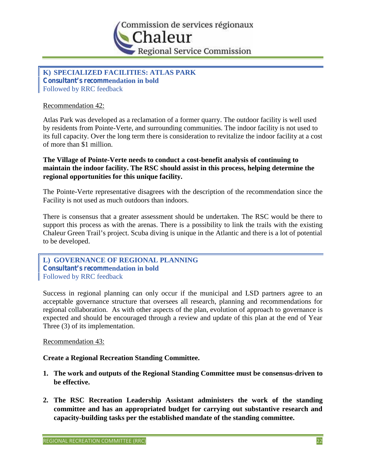

**K) SPECIALIZED FACILITIES: ATLAS PARK Consultant's recommendation in bold** Followed by RRC feedback

## Recommendation 42:

Atlas Park was developed as a reclamation of a former quarry. The outdoor facility is well used by residents from Pointe-Verte, and surrounding communities. The indoor facility is not used to its full capacity. Over the long term there is consideration to revitalize the indoor facility at a cost of more than \$1 million.

# **The Village of Pointe-Verte needs to conduct a cost-benefit analysis of continuing to maintain the indoor facility. The RSC should assist in this process, helping determine the regional opportunities for this unique facility.**

The Pointe-Verte representative disagrees with the description of the recommendation since the Facility is not used as much outdoors than indoors.

There is consensus that a greater assessment should be undertaken. The RSC would be there to support this process as with the arenas. There is a possibility to link the trails with the existing Chaleur Green Trail's project. Scuba diving is unique in the Atlantic and there is a lot of potential to be developed.

**L) GOVERNANCE OF REGIONAL PLANNING Consultant's recommendation in bold** Followed by RRC feedback

Success in regional planning can only occur if the municipal and LSD partners agree to an acceptable governance structure that oversees all research, planning and recommendations for regional collaboration. As with other aspects of the plan, evolution of approach to governance is expected and should be encouraged through a review and update of this plan at the end of Year Three (3) of its implementation.

#### Recommendation 43:

# **Create a Regional Recreation Standing Committee.**

- **1. The work and outputs of the Regional Standing Committee must be consensus-driven to be effective.**
- **2. The RSC Recreation Leadership Assistant administers the work of the standing committee and has an appropriated budget for carrying out substantive research and capacity-building tasks per the established mandate of the standing committee.**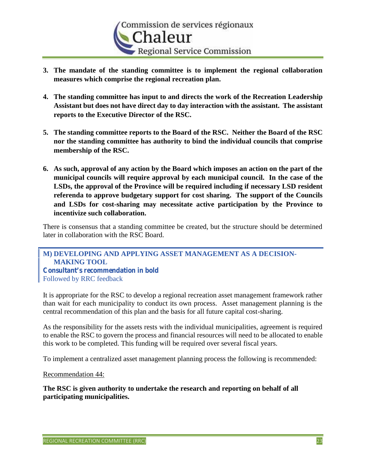

- **3. The mandate of the standing committee is to implement the regional collaboration measures which comprise the regional recreation plan.**
- **4. The standing committee has input to and directs the work of the Recreation Leadership Assistant but does not have direct day to day interaction with the assistant. The assistant reports to the Executive Director of the RSC.**
- **5. The standing committee reports to the Board of the RSC. Neither the Board of the RSC nor the standing committee has authority to bind the individual councils that comprise membership of the RSC.**
- **6. As such, approval of any action by the Board which imposes an action on the part of the municipal councils will require approval by each municipal council. In the case of the LSDs, the approval of the Province will be required including if necessary LSD resident referenda to approve budgetary support for cost sharing. The support of the Councils and LSDs for cost-sharing may necessitate active participation by the Province to incentivize such collaboration.**

There is consensus that a standing committee be created, but the structure should be determined later in collaboration with the RSC Board.

**M) DEVELOPING AND APPLYING ASSET MANAGEMENT AS A DECISION- MAKING TOOL Consultant's recommendation in bold** Followed by RRC feedback

It is appropriate for the RSC to develop a regional recreation asset management framework rather than wait for each municipality to conduct its own process. Asset management planning is the central recommendation of this plan and the basis for all future capital cost-sharing.

As the responsibility for the assets rests with the individual municipalities, agreement is required to enable the RSC to govern the process and financial resources will need to be allocated to enable this work to be completed. This funding will be required over several fiscal years.

To implement a centralized asset management planning process the following is recommended:

Recommendation 44:

**The RSC is given authority to undertake the research and reporting on behalf of all participating municipalities.**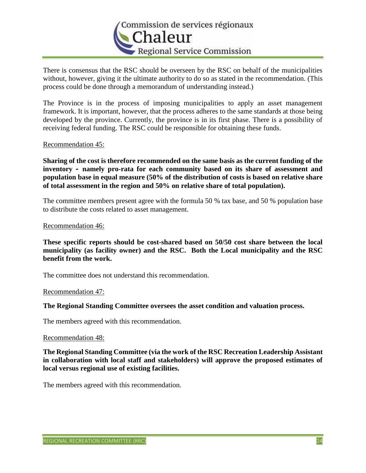

There is consensus that the RSC should be overseen by the RSC on behalf of the municipalities without, however, giving it the ultimate authority to do so as stated in the recommendation. (This process could be done through a memorandum of understanding instead.)

The Province is in the process of imposing municipalities to apply an asset management framework. It is important, however, that the process adheres to the same standards at those being developed by the province. Currently, the province is in its first phase. There is a possibility of receiving federal funding. The RSC could be responsible for obtaining these funds.

#### Recommendation 45:

**Sharing of the cost is therefore recommended on the same basis as the current funding of the inventory – namely pro-rata for each community based on its share of assessment and population base in equal measure (50% of the distribution of costs is based on relative share of total assessment in the region and 50% on relative share of total population).**

The committee members present agree with the formula 50 % tax base, and 50 % population base to distribute the costs related to asset management.

#### Recommendation 46:

**These specific reports should be cost-shared based on 50/50 cost share between the local municipality (as facility owner) and the RSC. Both the Local municipality and the RSC benefit from the work.**

The committee does not understand this recommendation.

#### Recommendation 47:

**The Regional Standing Committee oversees the asset condition and valuation process.**

The members agreed with this recommendation.

#### Recommendation 48:

**The Regional Standing Committee (via the work of the RSC Recreation Leadership Assistant in collaboration with local staff and stakeholders) will approve the proposed estimates of local versus regional use of existing facilities.**

The members agreed with this recommendation.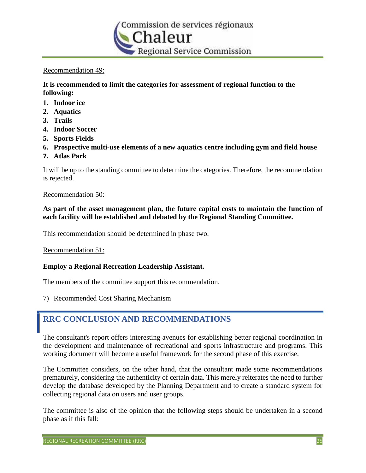

# Recommendation 49:

**It is recommended to limit the categories for assessment of regional function to the following:**

- **1. Indoor ice**
- **2. Aquatics**
- **3. Trails**
- **4. Indoor Soccer**
- **5. Sports Fields**
- **6. Prospective multi-use elements of a new aquatics centre including gym and field house**
- **7. Atlas Park**

It will be up to the standing committee to determine the categories. Therefore, the recommendation is rejected.

#### Recommendation 50:

**As part of the asset management plan, the future capital costs to maintain the function of each facility will be established and debated by the Regional Standing Committee.**

This recommendation should be determined in phase two.

Recommendation 51:

#### **Employ a Regional Recreation Leadership Assistant.**

The members of the committee support this recommendation.

7) Recommended Cost Sharing Mechanism

# **RRC CONCLUSION AND RECOMMENDATIONS**

The consultant's report offers interesting avenues for establishing better regional coordination in the development and maintenance of recreational and sports infrastructure and programs. This working document will become a useful framework for the second phase of this exercise.

The Committee considers, on the other hand, that the consultant made some recommendations prematurely, considering the authenticity of certain data. This merely reiterates the need to further develop the database developed by the Planning Department and to create a standard system for collecting regional data on users and user groups.

The committee is also of the opinion that the following steps should be undertaken in a second phase as if this fall: